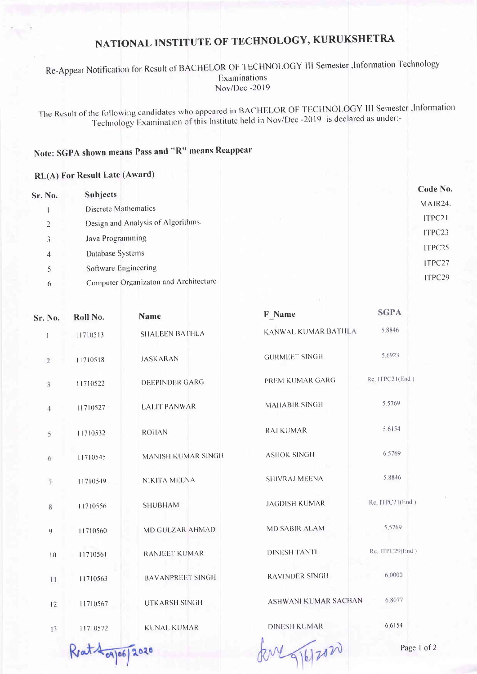## NATIONAL INSTITUTE OF TECHNOLOGY, KURUKSHETRA

Re-Appear Notification for Result of BACHELOR OF TECHNOLOGY III Semester , Information Technology Examinations Nov/Dec -2019

The Result of the following candidates who appeared in BACHELOR OF TECHNOLOGY III Semester , Information Technology Examination of this Institute held in Nov/Dec -2019 is declared as under:-

## Note: SGPA shown means Pass and "R" means Reappear

## RL(A) For Result Late (Award)

| Sr. No.        | <b>Subjects</b>                       |  | Code No.             |
|----------------|---------------------------------------|--|----------------------|
|                | <b>Discrete Mathematics</b>           |  | MAIR <sub>24</sub> . |
| $\overline{2}$ | Design and Analysis of Algorithms.    |  | ITPC21               |
| 3              | Java Programming                      |  | ITPC23               |
|                | Database Systems                      |  | ITPC25               |
| $\overline{4}$ | Software Engineering                  |  | ITPC27               |
|                |                                       |  | ITPC29               |
| 6              | Computer Organizaton and Architecture |  |                      |

| Sr. No.        | Roll No. | <b>Name</b>             | <b>F</b> Name               | <b>SGPA</b>     |
|----------------|----------|-------------------------|-----------------------------|-----------------|
| $\mathbf{I}$   | 11710513 | <b>SHALEEN BATHLA</b>   | KANWAL KUMAR BATHLA         | 5.8846          |
| $\overline{2}$ | 11710518 | <b>JASKARAN</b>         | <b>GURMEET SINGH</b>        | 5.6923          |
| 3              | 11710522 | <b>DEEPINDER GARG</b>   | PREM KUMAR GARG             | Re. ITPC21(End) |
| 4              | 11710527 | <b>LALIT PANWAR</b>     | <b>MAHABIR SINGH</b>        | 5,5769          |
| 5              | 11710532 | <b>ROHAN</b>            | <b>RAJ KUMAR</b>            | 5.6154          |
| 6              | 11710545 | MANISH KUMAR SINGH      | <b>ASHOK SINGH</b>          | 6.5769          |
| 7              | 11710549 | NIKITA MEENA            | <b>SHIVRAJ MEENA</b>        | 5.8846          |
| 8              | 11710556 | <b>SHUBHAM</b>          | <b>JAGDISH KUMAR</b>        | Re. ITPC21(End) |
| $\overline{9}$ | 11710560 | MD GULZAR AHMAD         | <b>MD SABIR ALAM</b>        | 5.5769          |
| 10             | 11710561 | <b>RANJEET KUMAR</b>    | <b>DINESH TANTI</b>         | Re. ITPC29(End) |
| 11             | 11710563 | <b>BAVANPREET SINGH</b> | <b>RAVINDER SINGH</b>       | 6,0000          |
| 12             | 11710567 | <b>UTKARSH SINGH</b>    | <b>ASHWANI KUMAR SACHAN</b> | 6.8077          |
| 13             | 11710572 | <b>KUNAL KUMAR</b>      | <b>DINESH KUMAR</b>         | 6.6154          |
|                |          |                         | <b>A</b>                    |                 |

Reat 109/06/2020

RM 9/6/2020